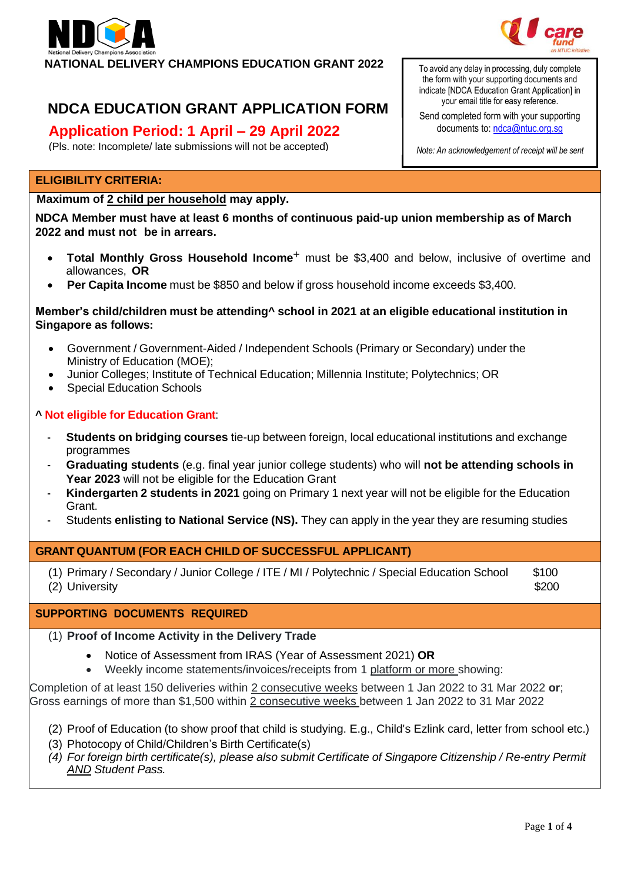

**NATIONAL DELIVERY CHAMPIONS EDUCATION GRANT 2022**

# **NDCA EDUCATION GRANT APPLICATION FORM**

# **Application Period: 1 April – 29 April 2022**

(Pls. note: Incomplete/ late submissions will not be accepted)

#### **ELIGIBILITY CRITERIA:**

#### **Maximum of 2 child per household may apply.**

**NDCA Member must have at least 6 months of continuous paid-up union membership as of March 2022 and must not be in arrears.**

- • **Total Monthly Gross Household Income**+ must be \$3,400 and below, inclusive of overtime and allowances, **OR**
- • **Per Capita Income** must be \$850 and below if gross household income exceeds \$3,400.

#### **Member's child/children must be attending^ school in 2021 at an eligible educational institution in Singapore as follows:**

- Government / Government-Aided / Independent Schools (Primary or Secondary) under the Ministry of Education (MOE);
- Junior Colleges; Institute of Technical Education; Millennia Institute; Polytechnics; OR
- Special Education Schools

#### **^ Not eligible for Education Grant**:

- **Students on bridging courses** tie-up between foreign, local educational institutions and exchange programmes
- **Graduating students** (e.g. final year junior college students) who will **not be attending schools in Year 2023** will not be eligible for the Education Grant
- **Kindergarten 2 students in 2021** going on Primary 1 next year will not be eligible for the Education Grant.
- Students **enlisting to National Service (NS).** They can apply in the year they are resuming studies

#### **GRANT QUANTUM (FOR EACH CHILD OF SUCCESSFUL APPLICANT)**

(1) Primary / Secondary / Junior College / ITE / MI / Polytechnic / Special Education School \$100 (2) University \$200

#### **SUPPORTING DOCUMENTS REQUIRED**

#### (1) **Proof of Income Activity in the Delivery Trade**

- Notice of Assessment from IRAS (Year of Assessment 2021) **OR**
- Weekly income statements/invoices/receipts from 1 platform or more showing:

Completion of at least 150 deliveries within 2 consecutive weeks between 1 Jan 2022 to 31 Mar 2022 **or**; Gross earnings of more than \$1,500 within 2 consecutive weeks between 1 Jan 2022 to 31 Mar 2022

- (2) Proof of Education (to show proof that child is studying. E.g., Child's Ezlink card, letter from school etc.)
- (3) Photocopy of Child/Children's Birth Certificate(s)
- *(4) For foreign birth certificate(s), please also submit Certificate of Singapore Citizenship / Re-entry Permit AND Student Pass.*

To avoid any delay in processing, duly complete the form with your supporting documents and indicate [NDCA Education Grant Application] in your email title for easy reference.

Send completed form with your supporting documents to[: ndca@ntuc.org.sg](mailto:ndca@ntuc.org.sg)

*Note: An acknowledgement of receipt will be sent*

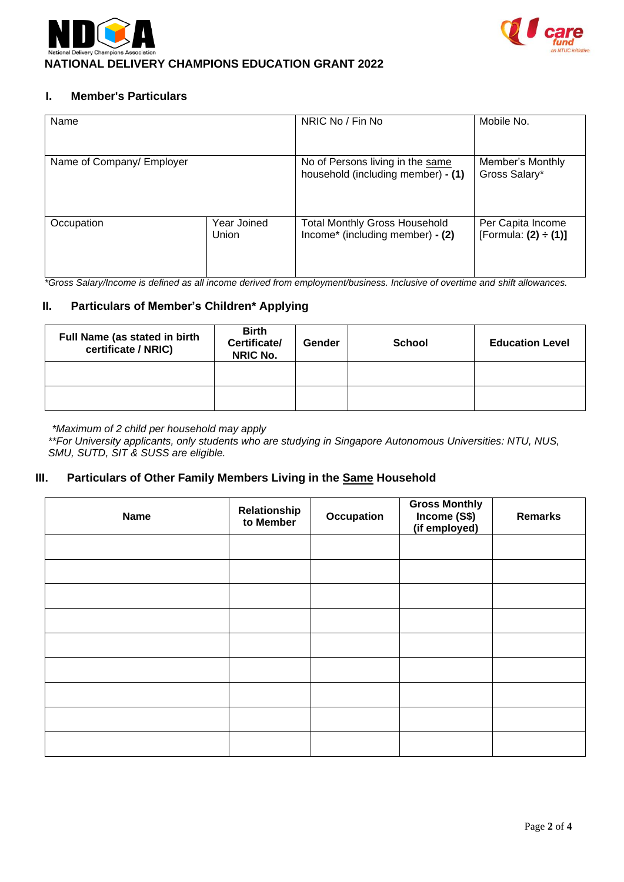



# **I. Member's Particulars**

| Name                      |                      | NRIC No / Fin No                                                         | Mobile No.                                |
|---------------------------|----------------------|--------------------------------------------------------------------------|-------------------------------------------|
| Name of Company/ Employer |                      | No of Persons living in the same<br>household (including member) - (1)   | Member's Monthly<br>Gross Salary*         |
| Occupation                | Year Joined<br>Union | <b>Total Monthly Gross Household</b><br>Income* (including member) - (2) | Per Capita Income<br>[Formula: (2) ÷ (1)] |

*\*Gross Salary/Income is defined as all income derived from employment/business. Inclusive of overtime and shift allowances.*

#### **II. Particulars of Member's Children\* Applying**

| Full Name (as stated in birth<br>certificate / NRIC) | <b>Birth</b><br>Certificate/<br><b>NRIC No.</b> | Gender | School | <b>Education Level</b> |
|------------------------------------------------------|-------------------------------------------------|--------|--------|------------------------|
|                                                      |                                                 |        |        |                        |
|                                                      |                                                 |        |        |                        |

*\*Maximum of 2 child per household may apply* 

*\*\*For University applicants, only students who are studying in Singapore Autonomous Universities: NTU, NUS, SMU, SUTD, SIT & SUSS are eligible.*

### **III. Particulars of Other Family Members Living in the Same Household**

| <b>Name</b> | Relationship<br>to Member | <b>Occupation</b> | <b>Gross Monthly</b><br>Income (S\$)<br>(if employed) | <b>Remarks</b> |
|-------------|---------------------------|-------------------|-------------------------------------------------------|----------------|
|             |                           |                   |                                                       |                |
|             |                           |                   |                                                       |                |
|             |                           |                   |                                                       |                |
|             |                           |                   |                                                       |                |
|             |                           |                   |                                                       |                |
|             |                           |                   |                                                       |                |
|             |                           |                   |                                                       |                |
|             |                           |                   |                                                       |                |
|             |                           |                   |                                                       |                |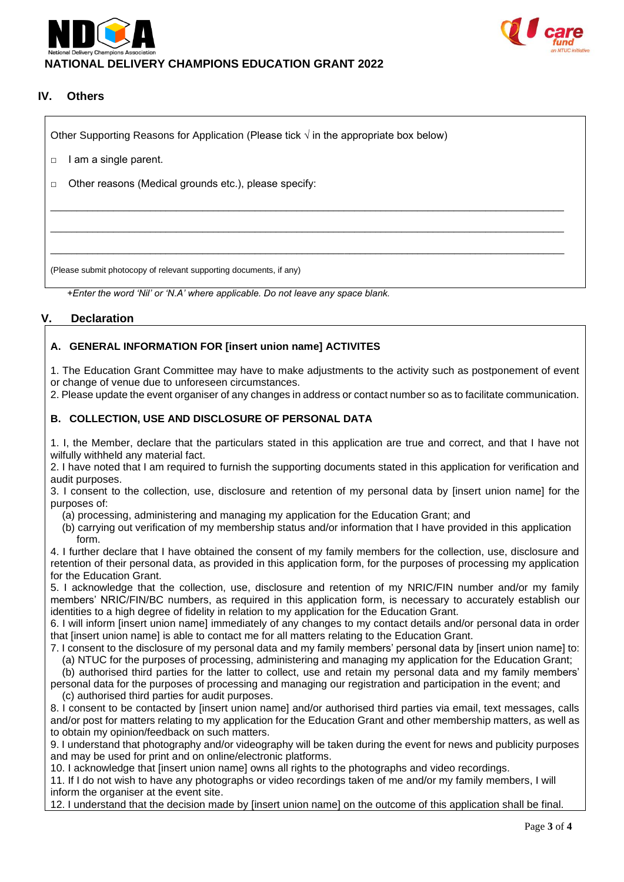



# **NATIONAL DELIVERY CHAMPIONS EDUCATION GRANT 2022**

#### **IV. Others**

Other Supporting Reasons for Application (Please tick  $\sqrt{ }$  in the appropriate box below)

- □ I am a single parent.
- □ Other reasons (Medical grounds etc.), please specify:

(Please submit photocopy of relevant supporting documents, if any)

*+Enter the word 'Nil' or 'N.A' where applicable. Do not leave any space blank.*

#### **V. Declaration**

#### **A. GENERAL INFORMATION FOR [insert union name] ACTIVITES**

1. The Education Grant Committee may have to make adjustments to the activity such as postponement of event or change of venue due to unforeseen circumstances.

 $\_$  ,  $\_$  ,  $\_$  ,  $\_$  ,  $\_$  ,  $\_$  ,  $\_$  ,  $\_$  ,  $\_$  ,  $\_$  ,  $\_$  ,  $\_$  ,  $\_$  ,  $\_$  ,  $\_$  ,  $\_$  ,  $\_$  ,  $\_$  ,  $\_$  ,  $\_$  ,  $\_$  ,  $\_$  ,  $\_$  ,  $\_$  ,  $\_$  ,  $\_$  ,  $\_$  ,  $\_$  ,  $\_$  ,  $\_$  ,  $\_$  ,  $\_$  ,  $\_$  ,  $\_$  ,  $\_$  ,  $\_$  ,  $\_$  ,

 $\_$  ,  $\_$  ,  $\_$  ,  $\_$  ,  $\_$  ,  $\_$  ,  $\_$  ,  $\_$  ,  $\_$  ,  $\_$  ,  $\_$  ,  $\_$  ,  $\_$  ,  $\_$  ,  $\_$  ,  $\_$  ,  $\_$  ,  $\_$  ,  $\_$  ,  $\_$  ,  $\_$  ,  $\_$  ,  $\_$  ,  $\_$  ,  $\_$  ,  $\_$  ,  $\_$  ,  $\_$  ,  $\_$  ,  $\_$  ,  $\_$  ,  $\_$  ,  $\_$  ,  $\_$  ,  $\_$  ,  $\_$  ,  $\_$  ,

 $\_$  ,  $\_$  ,  $\_$  ,  $\_$  ,  $\_$  ,  $\_$  ,  $\_$  ,  $\_$  ,  $\_$  ,  $\_$  ,  $\_$  ,  $\_$  ,  $\_$  ,  $\_$  ,  $\_$  ,  $\_$  ,  $\_$  ,  $\_$  ,  $\_$  ,  $\_$  ,  $\_$  ,  $\_$  ,  $\_$  ,  $\_$  ,  $\_$  ,  $\_$  ,  $\_$  ,  $\_$  ,  $\_$  ,  $\_$  ,  $\_$  ,  $\_$  ,  $\_$  ,  $\_$  ,  $\_$  ,  $\_$  ,  $\_$  ,

2. Please update the event organiser of any changes in address or contact number so as to facilitate communication.

#### **B. COLLECTION, USE AND DISCLOSURE OF PERSONAL DATA**

1. I, the Member, declare that the particulars stated in this application are true and correct, and that I have not wilfully withheld any material fact.

2. I have noted that I am required to furnish the supporting documents stated in this application for verification and audit purposes.

3. I consent to the collection, use, disclosure and retention of my personal data by [insert union name] for the purposes of:

- (a) processing, administering and managing my application for the Education Grant; and
- (b) carrying out verification of my membership status and/or information that I have provided in this application form.

4. I further declare that I have obtained the consent of my family members for the collection, use, disclosure and retention of their personal data, as provided in this application form, for the purposes of processing my application for the Education Grant.

5. I acknowledge that the collection, use, disclosure and retention of my NRIC/FIN number and/or my family members' NRIC/FIN/BC numbers, as required in this application form, is necessary to accurately establish our identities to a high degree of fidelity in relation to my application for the Education Grant.

6. I will inform [insert union name] immediately of any changes to my contact details and/or personal data in order that [insert union name] is able to contact me for all matters relating to the Education Grant.

7. I consent to the disclosure of my personal data and my family members' personal data by [insert union name] to: (a) NTUC for the purposes of processing, administering and managing my application for the Education Grant;

(b) authorised third parties for the latter to collect, use and retain my personal data and my family members'

personal data for the purposes of processing and managing our registration and participation in the event; and (c) authorised third parties for audit purposes.

8. I consent to be contacted by [insert union name] and/or authorised third parties via email, text messages, calls and/or post for matters relating to my application for the Education Grant and other membership matters, as well as to obtain my opinion/feedback on such matters.

9. I understand that photography and/or videography will be taken during the event for news and publicity purposes and may be used for print and on online/electronic platforms.

10. I acknowledge that [insert union name] owns all rights to the photographs and video recordings.

11. If I do not wish to have any photographs or video recordings taken of me and/or my family members, I will inform the organiser at the event site.

12. I understand that the decision made by [insert union name] on the outcome of this application shall be final.